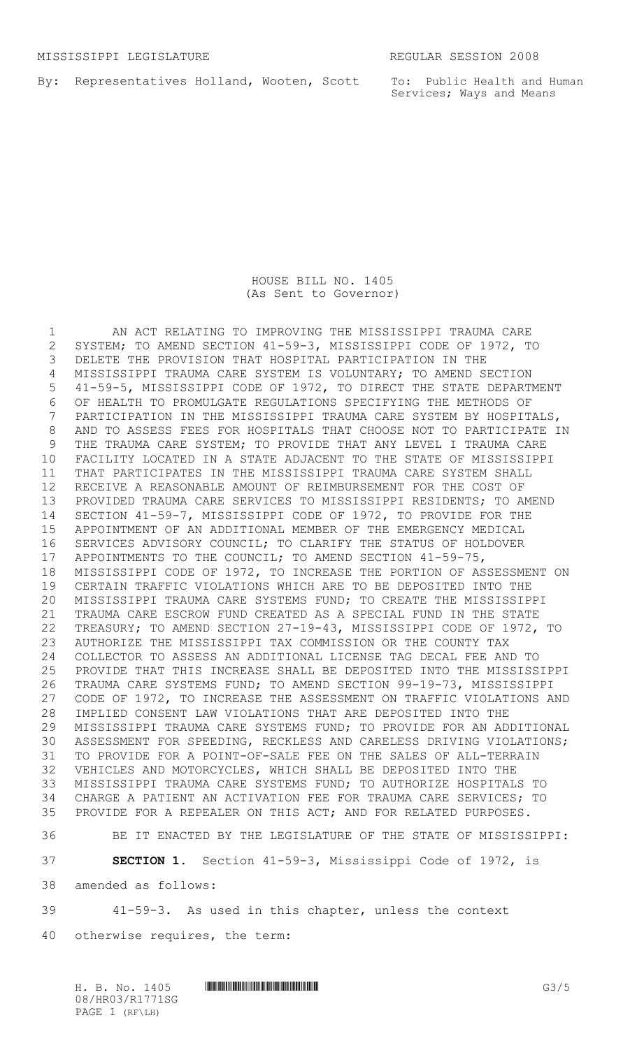By: Representatives Holland, Wooten, Scott

To: Public Health and Human Services; Ways and Means

## HOUSE BILL NO. 1405 (As Sent to Governor)

 AN ACT RELATING TO IMPROVING THE MISSISSIPPI TRAUMA CARE SYSTEM; TO AMEND SECTION 41-59-3, MISSISSIPPI CODE OF 1972, TO DELETE THE PROVISION THAT HOSPITAL PARTICIPATION IN THE MISSISSIPPI TRAUMA CARE SYSTEM IS VOLUNTARY; TO AMEND SECTION 41-59-5, MISSISSIPPI CODE OF 1972, TO DIRECT THE STATE DEPARTMENT OF HEALTH TO PROMULGATE REGULATIONS SPECIFYING THE METHODS OF PARTICIPATION IN THE MISSISSIPPI TRAUMA CARE SYSTEM BY HOSPITALS, AND TO ASSESS FEES FOR HOSPITALS THAT CHOOSE NOT TO PARTICIPATE IN THE TRAUMA CARE SYSTEM; TO PROVIDE THAT ANY LEVEL I TRAUMA CARE FACILITY LOCATED IN A STATE ADJACENT TO THE STATE OF MISSISSIPPI THAT PARTICIPATES IN THE MISSISSIPPI TRAUMA CARE SYSTEM SHALL RECEIVE A REASONABLE AMOUNT OF REIMBURSEMENT FOR THE COST OF PROVIDED TRAUMA CARE SERVICES TO MISSISSIPPI RESIDENTS; TO AMEND SECTION 41-59-7, MISSISSIPPI CODE OF 1972, TO PROVIDE FOR THE APPOINTMENT OF AN ADDITIONAL MEMBER OF THE EMERGENCY MEDICAL SERVICES ADVISORY COUNCIL; TO CLARIFY THE STATUS OF HOLDOVER APPOINTMENTS TO THE COUNCIL; TO AMEND SECTION 41-59-75, MISSISSIPPI CODE OF 1972, TO INCREASE THE PORTION OF ASSESSMENT ON CERTAIN TRAFFIC VIOLATIONS WHICH ARE TO BE DEPOSITED INTO THE MISSISSIPPI TRAUMA CARE SYSTEMS FUND; TO CREATE THE MISSISSIPPI TRAUMA CARE ESCROW FUND CREATED AS A SPECIAL FUND IN THE STATE TREASURY; TO AMEND SECTION 27-19-43, MISSISSIPPI CODE OF 1972, TO AUTHORIZE THE MISSISSIPPI TAX COMMISSION OR THE COUNTY TAX COLLECTOR TO ASSESS AN ADDITIONAL LICENSE TAG DECAL FEE AND TO PROVIDE THAT THIS INCREASE SHALL BE DEPOSITED INTO THE MISSISSIPPI TRAUMA CARE SYSTEMS FUND; TO AMEND SECTION 99-19-73, MISSISSIPPI CODE OF 1972, TO INCREASE THE ASSESSMENT ON TRAFFIC VIOLATIONS AND IMPLIED CONSENT LAW VIOLATIONS THAT ARE DEPOSITED INTO THE MISSISSIPPI TRAUMA CARE SYSTEMS FUND; TO PROVIDE FOR AN ADDITIONAL ASSESSMENT FOR SPEEDING, RECKLESS AND CARELESS DRIVING VIOLATIONS; TO PROVIDE FOR A POINT-OF-SALE FEE ON THE SALES OF ALL-TERRAIN VEHICLES AND MOTORCYCLES, WHICH SHALL BE DEPOSITED INTO THE MISSISSIPPI TRAUMA CARE SYSTEMS FUND; TO AUTHORIZE HOSPITALS TO CHARGE A PATIENT AN ACTIVATION FEE FOR TRAUMA CARE SERVICES; TO PROVIDE FOR A REPEALER ON THIS ACT; AND FOR RELATED PURPOSES.

BE IT ENACTED BY THE LEGISLATURE OF THE STATE OF MISSISSIPPI:

**SECTION 1.** Section 41-59-3, Mississippi Code of 1972, is

amended as follows:

41-59-3. As used in this chapter, unless the context

otherwise requires, the term:

H. B. No. 1405 \*HR03/R1771SG\* G3/5 08/HR03/R1771SG PAGE 1 (RF\LH)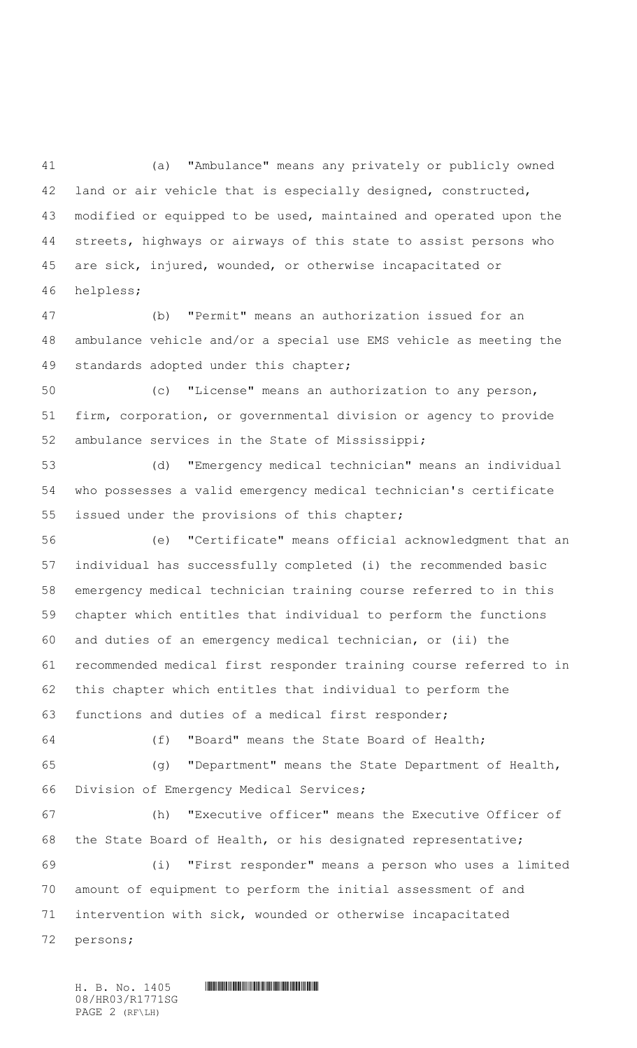(a) "Ambulance" means any privately or publicly owned land or air vehicle that is especially designed, constructed, modified or equipped to be used, maintained and operated upon the streets, highways or airways of this state to assist persons who are sick, injured, wounded, or otherwise incapacitated or helpless;

 (b) "Permit" means an authorization issued for an ambulance vehicle and/or a special use EMS vehicle as meeting the standards adopted under this chapter;

 (c) "License" means an authorization to any person, firm, corporation, or governmental division or agency to provide ambulance services in the State of Mississippi;

 (d) "Emergency medical technician" means an individual who possesses a valid emergency medical technician's certificate issued under the provisions of this chapter;

 (e) "Certificate" means official acknowledgment that an individual has successfully completed (i) the recommended basic emergency medical technician training course referred to in this chapter which entitles that individual to perform the functions and duties of an emergency medical technician, or (ii) the recommended medical first responder training course referred to in this chapter which entitles that individual to perform the functions and duties of a medical first responder;

(f) "Board" means the State Board of Health;

 (g) "Department" means the State Department of Health, Division of Emergency Medical Services;

 (h) "Executive officer" means the Executive Officer of the State Board of Health, or his designated representative;

 (i) "First responder" means a person who uses a limited amount of equipment to perform the initial assessment of and intervention with sick, wounded or otherwise incapacitated persons;

 $H. B. No. 1405$  **HROSHROSHROSHROSHROSHROSHROSH** 08/HR03/R1771SG PAGE 2 (RF\LH)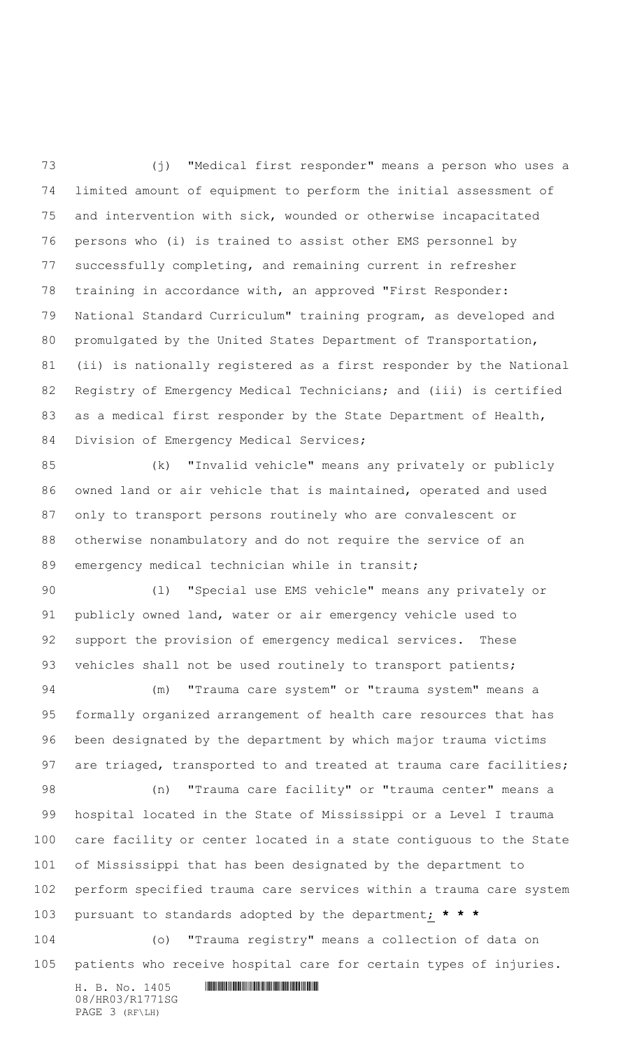(j) "Medical first responder" means a person who uses a limited amount of equipment to perform the initial assessment of and intervention with sick, wounded or otherwise incapacitated persons who (i) is trained to assist other EMS personnel by successfully completing, and remaining current in refresher training in accordance with, an approved "First Responder: National Standard Curriculum" training program, as developed and promulgated by the United States Department of Transportation, (ii) is nationally registered as a first responder by the National Registry of Emergency Medical Technicians; and (iii) is certified 83 as a medical first responder by the State Department of Health, 84 Division of Emergency Medical Services;

 (k) "Invalid vehicle" means any privately or publicly owned land or air vehicle that is maintained, operated and used only to transport persons routinely who are convalescent or otherwise nonambulatory and do not require the service of an 89 emergency medical technician while in transit;

 (l) "Special use EMS vehicle" means any privately or publicly owned land, water or air emergency vehicle used to 92 support the provision of emergency medical services. These 93 vehicles shall not be used routinely to transport patients;

 (m) "Trauma care system" or "trauma system" means a formally organized arrangement of health care resources that has been designated by the department by which major trauma victims 97 are triaged, transported to and treated at trauma care facilities;

 (n) "Trauma care facility" or "trauma center" means a hospital located in the State of Mississippi or a Level I trauma care facility or center located in a state contiguous to the State of Mississippi that has been designated by the department to perform specified trauma care services within a trauma care system pursuant to standards adopted by the department; **\* \* \***

 (o) "Trauma registry" means a collection of data on patients who receive hospital care for certain types of injuries.

 $H. B. No. 1405$  . HENDIFFERENTIAL SERVICE SERVICE SERVICE SERVICE SERVICE SERVICE SERVICE SERVICE SERVICE SERVICE SERVICE SERVICE SERVICE SERVICE SERVICE SERVICE SERVICE SERVICE SERVICE SERVICE SERVICE SERVICE SERVICE SERVI 08/HR03/R1771SG PAGE 3 (RF\LH)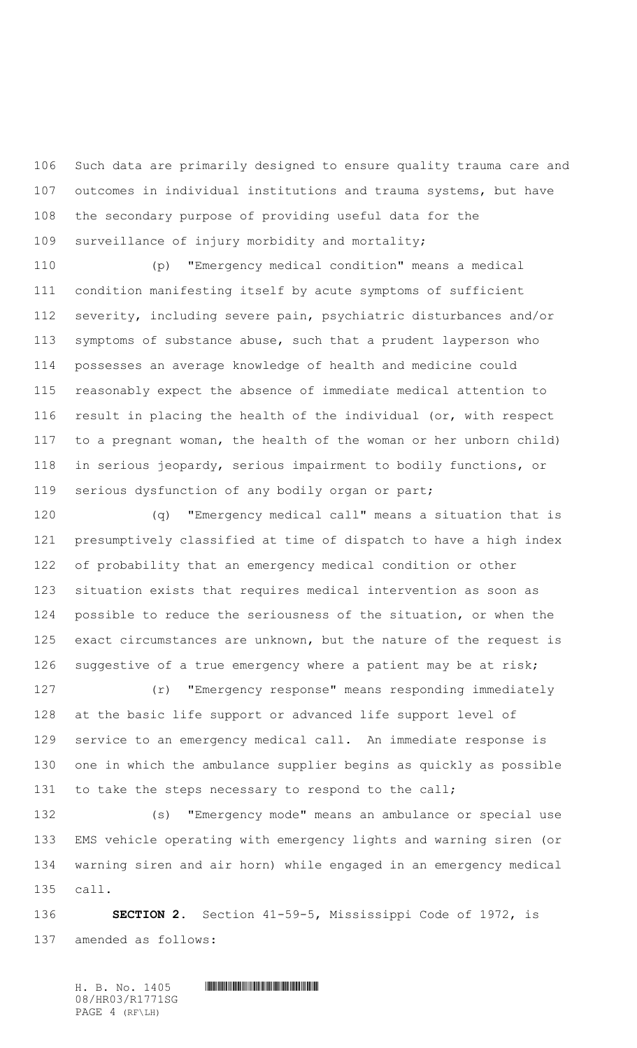Such data are primarily designed to ensure quality trauma care and outcomes in individual institutions and trauma systems, but have the secondary purpose of providing useful data for the surveillance of injury morbidity and mortality;

 (p) "Emergency medical condition" means a medical condition manifesting itself by acute symptoms of sufficient severity, including severe pain, psychiatric disturbances and/or symptoms of substance abuse, such that a prudent layperson who possesses an average knowledge of health and medicine could reasonably expect the absence of immediate medical attention to result in placing the health of the individual (or, with respect to a pregnant woman, the health of the woman or her unborn child) in serious jeopardy, serious impairment to bodily functions, or serious dysfunction of any bodily organ or part;

 (q) "Emergency medical call" means a situation that is presumptively classified at time of dispatch to have a high index of probability that an emergency medical condition or other situation exists that requires medical intervention as soon as possible to reduce the seriousness of the situation, or when the exact circumstances are unknown, but the nature of the request is suggestive of a true emergency where a patient may be at risk;

 (r) "Emergency response" means responding immediately at the basic life support or advanced life support level of service to an emergency medical call. An immediate response is one in which the ambulance supplier begins as quickly as possible 131 to take the steps necessary to respond to the call;

 (s) "Emergency mode" means an ambulance or special use EMS vehicle operating with emergency lights and warning siren (or warning siren and air horn) while engaged in an emergency medical call.

 **SECTION 2.** Section 41-59-5, Mississippi Code of 1972, is amended as follows:

 $H. B. No. 1405$  **HROSHROSHROSHROSHROSHROSHROSH** 08/HR03/R1771SG PAGE 4 (RF\LH)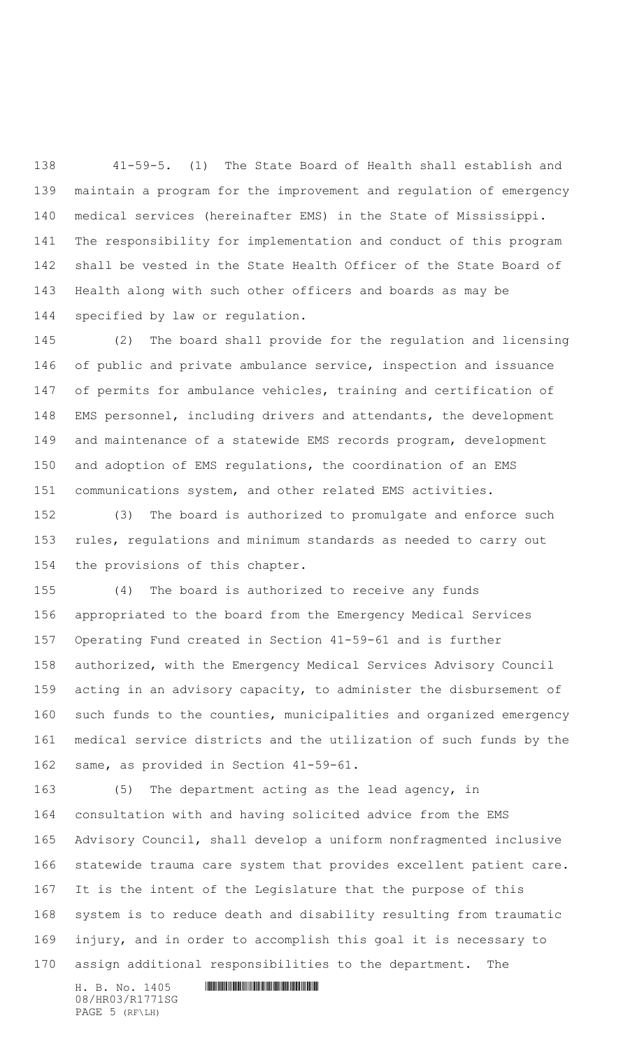41-59-5. (1) The State Board of Health shall establish and maintain a program for the improvement and regulation of emergency medical services (hereinafter EMS) in the State of Mississippi. The responsibility for implementation and conduct of this program shall be vested in the State Health Officer of the State Board of Health along with such other officers and boards as may be specified by law or regulation.

 (2) The board shall provide for the regulation and licensing of public and private ambulance service, inspection and issuance of permits for ambulance vehicles, training and certification of EMS personnel, including drivers and attendants, the development and maintenance of a statewide EMS records program, development and adoption of EMS regulations, the coordination of an EMS communications system, and other related EMS activities.

 (3) The board is authorized to promulgate and enforce such rules, regulations and minimum standards as needed to carry out the provisions of this chapter.

 (4) The board is authorized to receive any funds appropriated to the board from the Emergency Medical Services Operating Fund created in Section 41-59-61 and is further authorized, with the Emergency Medical Services Advisory Council acting in an advisory capacity, to administer the disbursement of such funds to the counties, municipalities and organized emergency medical service districts and the utilization of such funds by the same, as provided in Section 41-59-61.

 (5) The department acting as the lead agency, in consultation with and having solicited advice from the EMS Advisory Council, shall develop a uniform nonfragmented inclusive statewide trauma care system that provides excellent patient care. It is the intent of the Legislature that the purpose of this system is to reduce death and disability resulting from traumatic injury, and in order to accomplish this goal it is necessary to assign additional responsibilities to the department. The

 $H. B. No. 1405$  . HENDIFFERENTIAL SERVICE SERVICE SERVICE SERVICE SERVICE SERVICE SERVICE SERVICE SERVICE SERVICE SERVICE SERVICE SERVICE SERVICE SERVICE SERVICE SERVICE SERVICE SERVICE SERVICE SERVICE SERVICE SERVICE SERVI 08/HR03/R1771SG PAGE 5 (RF\LH)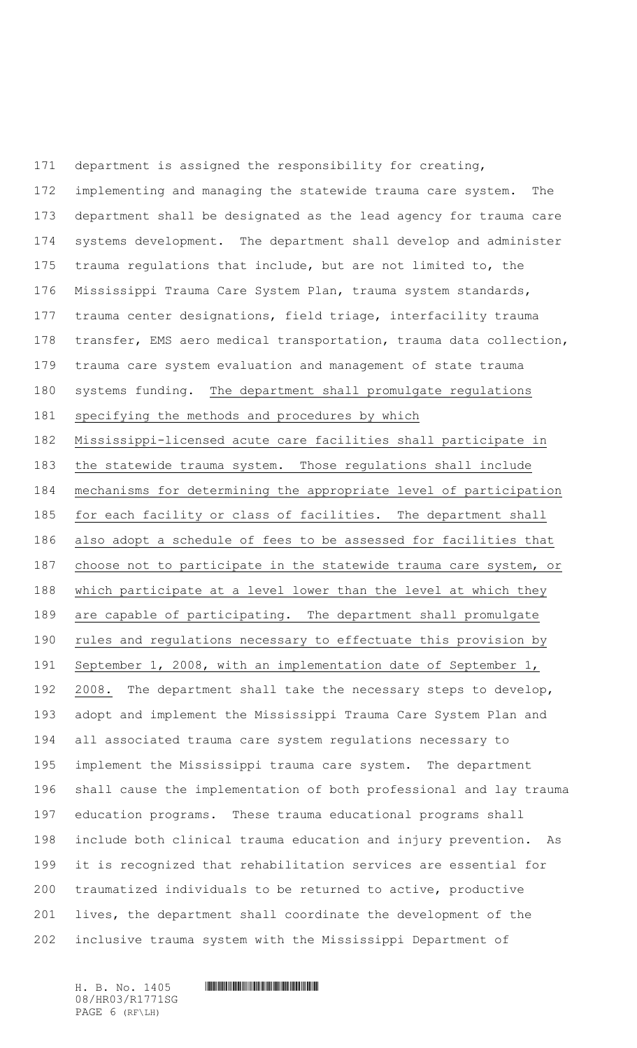department is assigned the responsibility for creating, implementing and managing the statewide trauma care system. The department shall be designated as the lead agency for trauma care systems development. The department shall develop and administer trauma regulations that include, but are not limited to, the Mississippi Trauma Care System Plan, trauma system standards, trauma center designations, field triage, interfacility trauma transfer, EMS aero medical transportation, trauma data collection, trauma care system evaluation and management of state trauma systems funding. The department shall promulgate regulations specifying the methods and procedures by which Mississippi-licensed acute care facilities shall participate in the statewide trauma system. Those regulations shall include mechanisms for determining the appropriate level of participation for each facility or class of facilities. The department shall also adopt a schedule of fees to be assessed for facilities that choose not to participate in the statewide trauma care system, or which participate at a level lower than the level at which they are capable of participating. The department shall promulgate rules and regulations necessary to effectuate this provision by September 1, 2008, with an implementation date of September 1, 2008. The department shall take the necessary steps to develop, adopt and implement the Mississippi Trauma Care System Plan and all associated trauma care system regulations necessary to implement the Mississippi trauma care system. The department shall cause the implementation of both professional and lay trauma education programs. These trauma educational programs shall include both clinical trauma education and injury prevention. As it is recognized that rehabilitation services are essential for traumatized individuals to be returned to active, productive lives, the department shall coordinate the development of the inclusive trauma system with the Mississippi Department of

08/HR03/R1771SG PAGE 6 (RF\LH)

 $H. B. No. 1405$  . HENDIFFERENTIAL SERVICE SERVICE SERVICE SERVICE SERVICE SERVICE SERVICE SERVICE SERVICE SERVICE SERVICE SERVICE SERVICE SERVICE SERVICE SERVICE SERVICE SERVICE SERVICE SERVICE SERVICE SERVICE SERVICE SERVI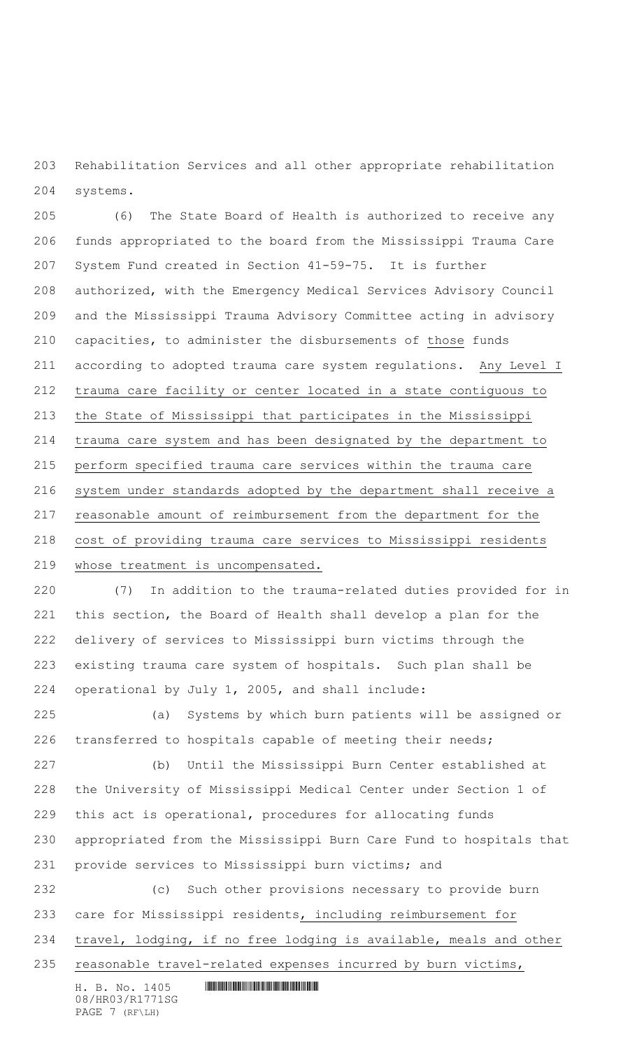Rehabilitation Services and all other appropriate rehabilitation systems.

 (6) The State Board of Health is authorized to receive any funds appropriated to the board from the Mississippi Trauma Care System Fund created in Section 41-59-75. It is further authorized, with the Emergency Medical Services Advisory Council and the Mississippi Trauma Advisory Committee acting in advisory capacities, to administer the disbursements of those funds according to adopted trauma care system regulations. Any Level I trauma care facility or center located in a state contiguous to the State of Mississippi that participates in the Mississippi trauma care system and has been designated by the department to perform specified trauma care services within the trauma care system under standards adopted by the department shall receive a reasonable amount of reimbursement from the department for the cost of providing trauma care services to Mississippi residents whose treatment is uncompensated.

 (7) In addition to the trauma-related duties provided for in this section, the Board of Health shall develop a plan for the delivery of services to Mississippi burn victims through the existing trauma care system of hospitals. Such plan shall be operational by July 1, 2005, and shall include:

 (a) Systems by which burn patients will be assigned or transferred to hospitals capable of meeting their needs;

 (b) Until the Mississippi Burn Center established at the University of Mississippi Medical Center under Section 1 of this act is operational, procedures for allocating funds appropriated from the Mississippi Burn Care Fund to hospitals that provide services to Mississippi burn victims; and

 (c) Such other provisions necessary to provide burn care for Mississippi residents, including reimbursement for travel, lodging, if no free lodging is available, meals and other

reasonable travel-related expenses incurred by burn victims,

 $H. B. No. 1405$  . HENDER THE SET OF SET OF SET OF SET OF SET OF SET OF SET OF SET OF SET OF SET OF SET OF SET OF SET OF SET OF SET OF SET OF SET OF SET OF SET OF SET OF SET OF SET OF SET OF SET OF SET OF SET OF SET OF SET O 08/HR03/R1771SG PAGE 7 (RF\LH)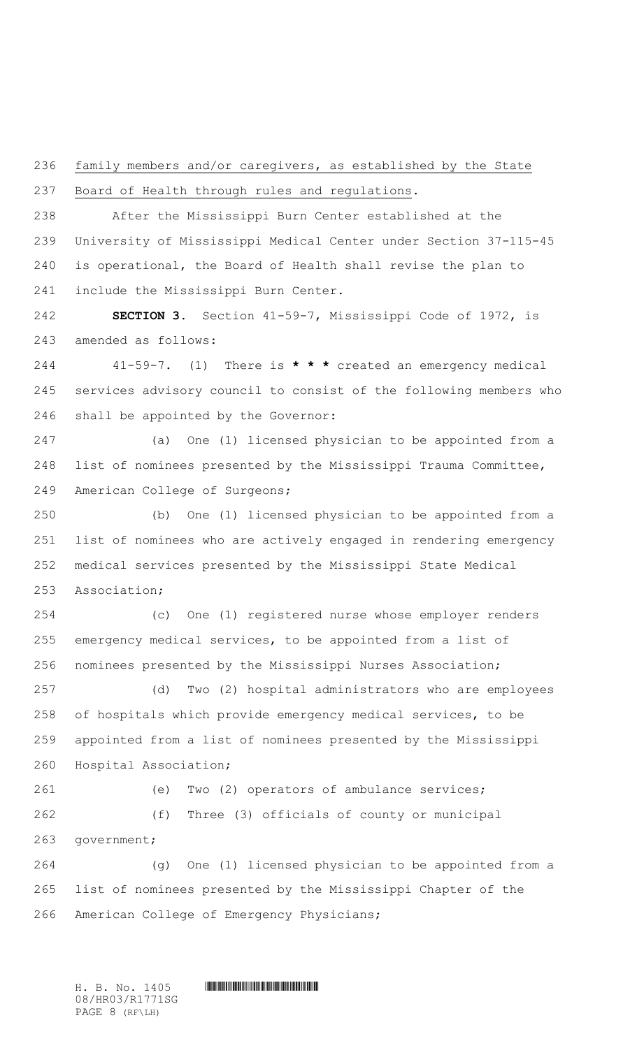family members and/or caregivers, as established by the State

Board of Health through rules and regulations.

 After the Mississippi Burn Center established at the University of Mississippi Medical Center under Section 37-115-45 is operational, the Board of Health shall revise the plan to include the Mississippi Burn Center.

 **SECTION 3.** Section 41-59-7, Mississippi Code of 1972, is amended as follows:

 41-59-7. (1) There is **\* \* \*** created an emergency medical services advisory council to consist of the following members who shall be appointed by the Governor:

 (a) One (1) licensed physician to be appointed from a list of nominees presented by the Mississippi Trauma Committee, American College of Surgeons;

 (b) One (1) licensed physician to be appointed from a list of nominees who are actively engaged in rendering emergency medical services presented by the Mississippi State Medical Association;

 (c) One (1) registered nurse whose employer renders emergency medical services, to be appointed from a list of nominees presented by the Mississippi Nurses Association;

 (d) Two (2) hospital administrators who are employees of hospitals which provide emergency medical services, to be appointed from a list of nominees presented by the Mississippi Hospital Association;

 (e) Two (2) operators of ambulance services; (f) Three (3) officials of county or municipal government;

 (g) One (1) licensed physician to be appointed from a list of nominees presented by the Mississippi Chapter of the American College of Emergency Physicians;

 $H. B. No. 1405$  **HROSHROSHROSHROSHROSHROSHROSH** 08/HR03/R1771SG PAGE 8 (RF\LH)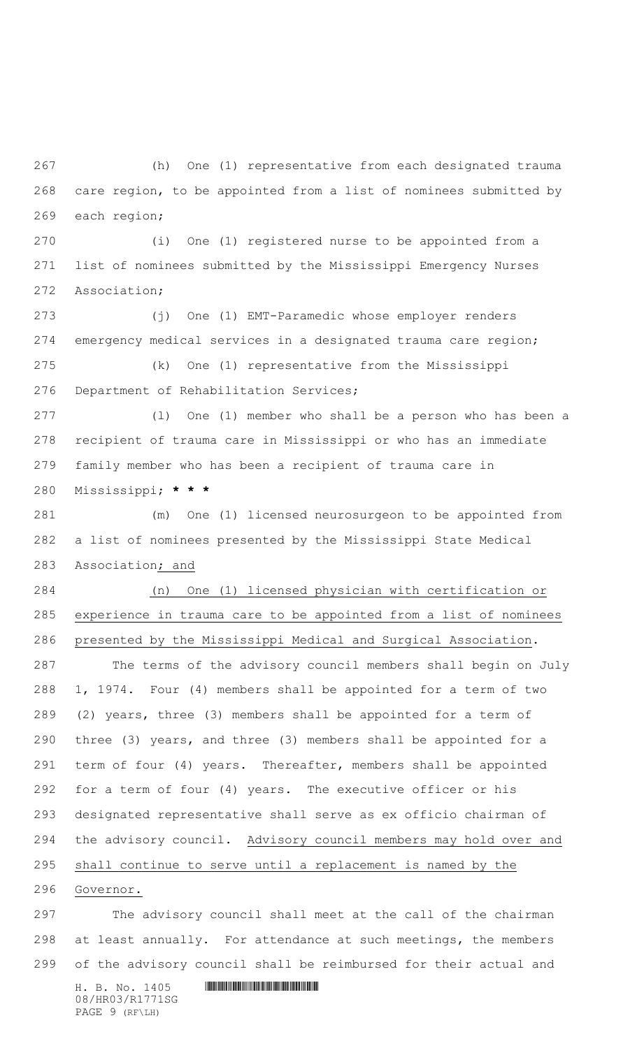(h) One (1) representative from each designated trauma care region, to be appointed from a list of nominees submitted by each region;

 (i) One (1) registered nurse to be appointed from a list of nominees submitted by the Mississippi Emergency Nurses Association;

 (j) One (1) EMT-Paramedic whose employer renders emergency medical services in a designated trauma care region; (k) One (1) representative from the Mississippi Department of Rehabilitation Services;

 (l) One (1) member who shall be a person who has been a recipient of trauma care in Mississippi or who has an immediate family member who has been a recipient of trauma care in Mississippi; **\* \* \***

 (m) One (1) licensed neurosurgeon to be appointed from a list of nominees presented by the Mississippi State Medical Association; and

 (n) One (1) licensed physician with certification or experience in trauma care to be appointed from a list of nominees presented by the Mississippi Medical and Surgical Association.

 The terms of the advisory council members shall begin on July 1, 1974. Four (4) members shall be appointed for a term of two (2) years, three (3) members shall be appointed for a term of three (3) years, and three (3) members shall be appointed for a term of four (4) years. Thereafter, members shall be appointed for a term of four (4) years. The executive officer or his designated representative shall serve as ex officio chairman of the advisory council. Advisory council members may hold over and shall continue to serve until a replacement is named by the

Governor.

 The advisory council shall meet at the call of the chairman at least annually. For attendance at such meetings, the members of the advisory council shall be reimbursed for their actual and

 $H. B. No. 1405$  . HENDIFFERENTIAL SERVICE SERVICE SERVICE SERVICE SERVICE SERVICE SERVICE SERVICE SERVICE SERVICE SERVICE SERVICE SERVICE SERVICE SERVICE SERVICE SERVICE SERVICE SERVICE SERVICE SERVICE SERVICE SERVICE SERVI 08/HR03/R1771SG PAGE 9 (RF\LH)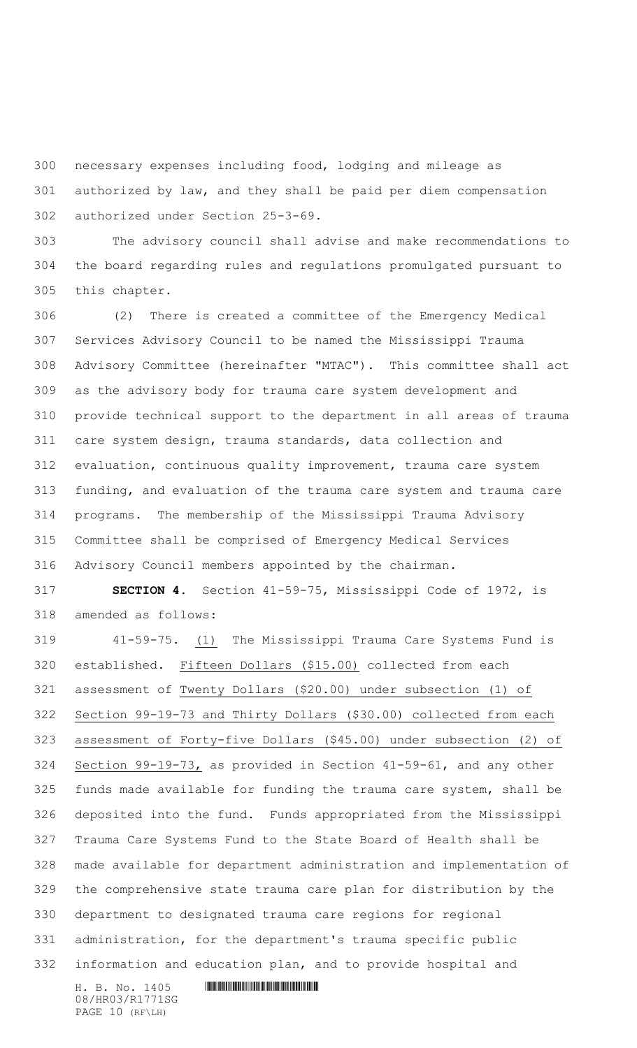necessary expenses including food, lodging and mileage as

 authorized by law, and they shall be paid per diem compensation authorized under Section 25-3-69.

 The advisory council shall advise and make recommendations to the board regarding rules and regulations promulgated pursuant to this chapter.

 (2) There is created a committee of the Emergency Medical Services Advisory Council to be named the Mississippi Trauma Advisory Committee (hereinafter "MTAC"). This committee shall act as the advisory body for trauma care system development and provide technical support to the department in all areas of trauma care system design, trauma standards, data collection and evaluation, continuous quality improvement, trauma care system funding, and evaluation of the trauma care system and trauma care programs. The membership of the Mississippi Trauma Advisory Committee shall be comprised of Emergency Medical Services Advisory Council members appointed by the chairman.

 **SECTION 4.** Section 41-59-75, Mississippi Code of 1972, is amended as follows:

 41-59-75. (1) The Mississippi Trauma Care Systems Fund is established. Fifteen Dollars (\$15.00) collected from each assessment of Twenty Dollars (\$20.00) under subsection (1) of Section 99-19-73 and Thirty Dollars (\$30.00) collected from each assessment of Forty-five Dollars (\$45.00) under subsection (2) of Section 99-19-73, as provided in Section 41-59-61, and any other funds made available for funding the trauma care system, shall be deposited into the fund. Funds appropriated from the Mississippi Trauma Care Systems Fund to the State Board of Health shall be made available for department administration and implementation of the comprehensive state trauma care plan for distribution by the department to designated trauma care regions for regional administration, for the department's trauma specific public information and education plan, and to provide hospital and

 $H. B. No. 1405$  . HENDIFFERENTIAL SERVICE SERVICE SERVICE SERVICE SERVICE SERVICE SERVICE SERVICE SERVICE SERVICE SERVICE SERVICE SERVICE SERVICE SERVICE SERVICE SERVICE SERVICE SERVICE SERVICE SERVICE SERVICE SERVICE SERVI 08/HR03/R1771SG PAGE 10 (RF\LH)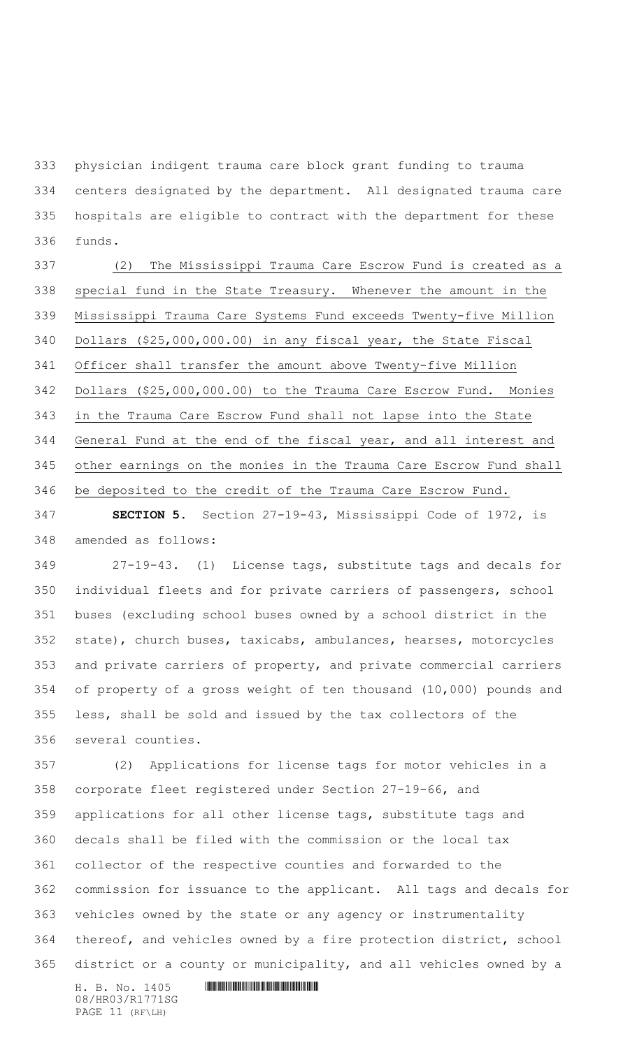physician indigent trauma care block grant funding to trauma centers designated by the department. All designated trauma care hospitals are eligible to contract with the department for these funds.

 (2) The Mississippi Trauma Care Escrow Fund is created as a special fund in the State Treasury. Whenever the amount in the Mississippi Trauma Care Systems Fund exceeds Twenty-five Million Dollars (\$25,000,000.00) in any fiscal year, the State Fiscal Officer shall transfer the amount above Twenty-five Million Dollars (\$25,000,000.00) to the Trauma Care Escrow Fund. Monies in the Trauma Care Escrow Fund shall not lapse into the State General Fund at the end of the fiscal year, and all interest and other earnings on the monies in the Trauma Care Escrow Fund shall be deposited to the credit of the Trauma Care Escrow Fund.

 **SECTION 5.** Section 27-19-43, Mississippi Code of 1972, is amended as follows:

 27-19-43. (1) License tags, substitute tags and decals for individual fleets and for private carriers of passengers, school buses (excluding school buses owned by a school district in the state), church buses, taxicabs, ambulances, hearses, motorcycles and private carriers of property, and private commercial carriers of property of a gross weight of ten thousand (10,000) pounds and less, shall be sold and issued by the tax collectors of the several counties.

 (2) Applications for license tags for motor vehicles in a corporate fleet registered under Section 27-19-66, and applications for all other license tags, substitute tags and decals shall be filed with the commission or the local tax collector of the respective counties and forwarded to the commission for issuance to the applicant. All tags and decals for vehicles owned by the state or any agency or instrumentality thereof, and vehicles owned by a fire protection district, school district or a county or municipality, and all vehicles owned by a

 $H. B. No. 1405$  . HENDIFFERENTIAL SERVICE SERVICE SERVICE SERVICE SERVICE SERVICE SERVICE SERVICE SERVICE SERVICE SERVICE SERVICE SERVICE SERVICE SERVICE SERVICE SERVICE SERVICE SERVICE SERVICE SERVICE SERVICE SERVICE SERVI 08/HR03/R1771SG PAGE 11 (RF\LH)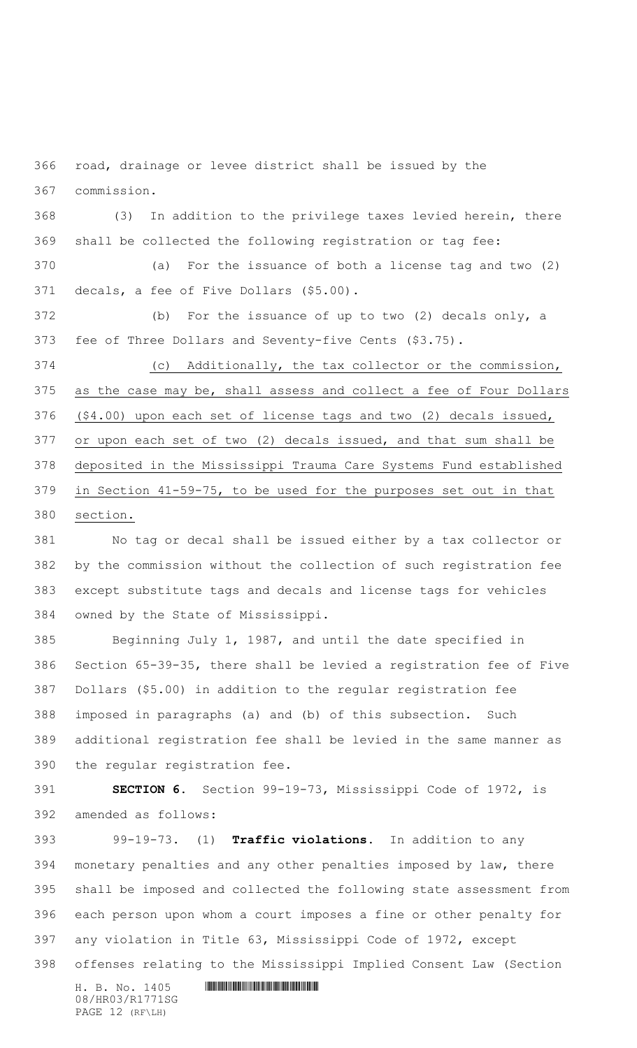road, drainage or levee district shall be issued by the commission.

 (3) In addition to the privilege taxes levied herein, there shall be collected the following registration or tag fee:

 (a) For the issuance of both a license tag and two (2) decals, a fee of Five Dollars (\$5.00).

 (b) For the issuance of up to two (2) decals only, a fee of Three Dollars and Seventy-five Cents (\$3.75).

 (c) Additionally, the tax collector or the commission, as the case may be, shall assess and collect a fee of Four Dollars (\$4.00) upon each set of license tags and two (2) decals issued, or upon each set of two (2) decals issued, and that sum shall be deposited in the Mississippi Trauma Care Systems Fund established in Section 41-59-75, to be used for the purposes set out in that section.

 No tag or decal shall be issued either by a tax collector or by the commission without the collection of such registration fee except substitute tags and decals and license tags for vehicles owned by the State of Mississippi.

 Beginning July 1, 1987, and until the date specified in Section 65-39-35, there shall be levied a registration fee of Five Dollars (\$5.00) in addition to the regular registration fee imposed in paragraphs (a) and (b) of this subsection. Such additional registration fee shall be levied in the same manner as the regular registration fee.

 **SECTION 6.** Section 99-19-73, Mississippi Code of 1972, is amended as follows:

 99-19-73. (1) **Traffic violations.** In addition to any monetary penalties and any other penalties imposed by law, there shall be imposed and collected the following state assessment from each person upon whom a court imposes a fine or other penalty for any violation in Title 63, Mississippi Code of 1972, except

offenses relating to the Mississippi Implied Consent Law (Section

 $H. B. No. 1405$  . HENDIFFERENTIAL SERVICE SERVICE SERVICE SERVICE SERVICE SERVICE SERVICE SERVICE SERVICE SERVICE SERVICE SERVICE SERVICE SERVICE SERVICE SERVICE SERVICE SERVICE SERVICE SERVICE SERVICE SERVICE SERVICE SERVI 08/HR03/R1771SG PAGE 12 (RF\LH)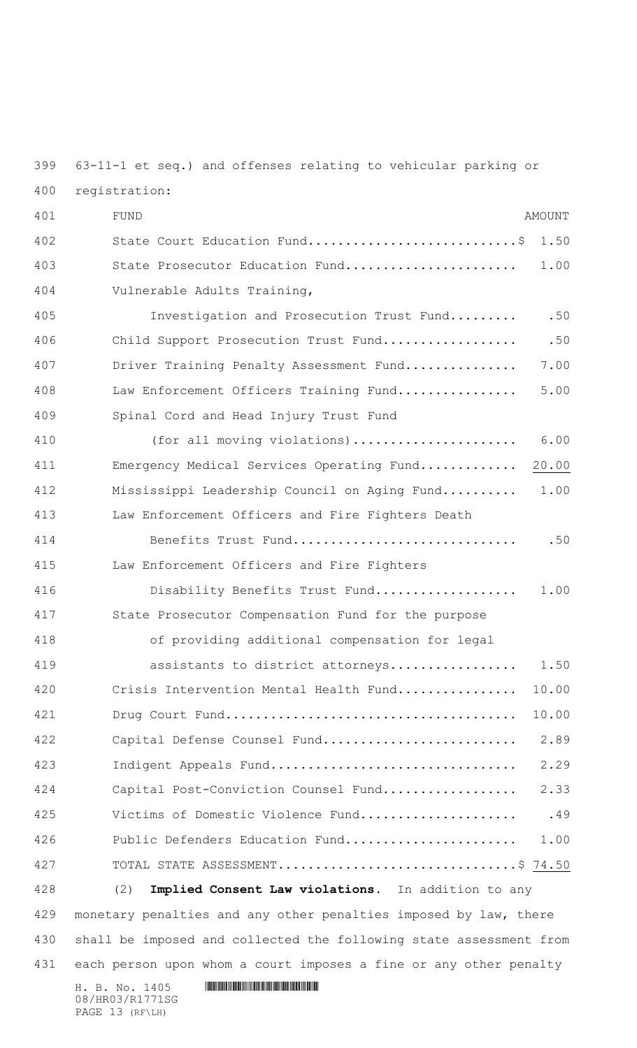63-11-1 et seq.) and offenses relating to vehicular parking or

| registration:<br>400 |  |
|----------------------|--|
|----------------------|--|

PAGE 13 (RF\LH)

| 401 | <b>FUND</b><br><b>AMOUNT</b>                                       |
|-----|--------------------------------------------------------------------|
| 402 | State Court Education Fund\$<br>1.50                               |
| 403 | State Prosecutor Education Fund<br>1.00                            |
| 404 | Vulnerable Adults Training,                                        |
| 405 | .50<br>Investigation and Prosecution Trust Fund                    |
| 406 | .50<br>Child Support Prosecution Trust Fund                        |
| 407 | Driver Training Penalty Assessment Fund<br>7.00                    |
| 408 | 5.00<br>Law Enforcement Officers Training Fund                     |
| 409 | Spinal Cord and Head Injury Trust Fund                             |
| 410 | 6.00<br>(for all moving violations)                                |
| 411 | 20.00<br>Emergency Medical Services Operating Fund                 |
| 412 | Mississippi Leadership Council on Aging Fund<br>1.00               |
| 413 | Law Enforcement Officers and Fire Fighters Death                   |
| 414 | .50<br>Benefits Trust Fund                                         |
| 415 | Law Enforcement Officers and Fire Fighters                         |
| 416 | 1.00<br>Disability Benefits Trust Fund                             |
| 417 | State Prosecutor Compensation Fund for the purpose                 |
| 418 | of providing additional compensation for legal                     |
| 419 | assistants to district attorneys<br>1.50                           |
| 420 | Crisis Intervention Mental Health Fund<br>10.00                    |
| 421 | 10.00                                                              |
| 422 | 2.89<br>Capital Defense Counsel Fund                               |
| 423 | 2.29<br>Indigent Appeals Fund                                      |
| 424 | 2.33<br>Capital Post-Conviction Counsel Fund                       |
| 425 | .49<br>Victims of Domestic Violence Fund                           |
| 426 | Public Defenders Education Fund<br>1.00                            |
| 427 | TOTAL STATE ASSESSMENT\$ 74.50                                     |
| 428 | Implied Consent Law violations. In addition to any<br>(2)          |
| 429 | monetary penalties and any other penalties imposed by law, there   |
| 430 | shall be imposed and collected the following state assessment from |
| 431 | each person upon whom a court imposes a fine or any other penalty  |
|     | H. B. No. 1405<br>08/HR03/R1771SG                                  |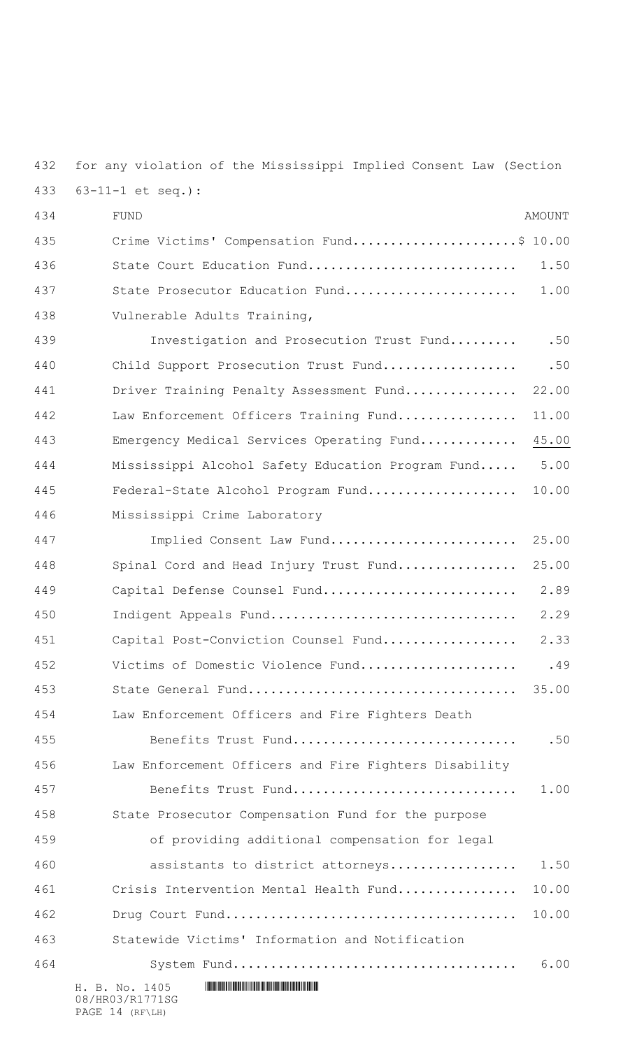for any violation of the Mississippi Implied Consent Law (Section 63-11-1 et seq.):

 $H. B. No. 1405$  . HENR1771 SET AND A SET AND A SET AND A SET AND A SET AND RELATIONSHIPS A SET AND RELATIONSHIPS AND RELATIONSHIPS AND RELATIONSHIPS AND RELATIONSHIPS AND RELATIONSHIPS AND RELATIONSHIPS AND RELATIONSHIPS AN 08/HR03/R1771SG FUND AMOUNT Crime Victims' Compensation Fund......................\$ 10.00 436 State Court Education Fund................................ 1.50 State Prosecutor Education Fund....................... 1.00 Vulnerable Adults Training, 439 Investigation and Prosecution Trust Fund......... .50 440 Child Support Prosecution Trust Fund.............................50 441 Driver Training Penalty Assessment Fund................ 22.00 Law Enforcement Officers Training Fund................ 11.00 Emergency Medical Services Operating Fund............. 45.00 Mississippi Alcohol Safety Education Program Fund..... 5.00 Federal-State Alcohol Program Fund.................... 10.00 Mississippi Crime Laboratory 447 Implied Consent Law Fund............................ 25.00 448 Spinal Cord and Head Injury Trust Fund................. 25.00 Capital Defense Counsel Fund.......................... 2.89 Indigent Appeals Fund................................. 2.29 Capital Post-Conviction Counsel Fund.................. 2.33 452 Victims of Domestic Violence Fund.................................49 State General Fund.................................... 35.00 Law Enforcement Officers and Fire Fighters Death Benefits Trust Fund.............................. .50 Law Enforcement Officers and Fire Fighters Disability Benefits Trust Fund.............................. 1.00 State Prosecutor Compensation Fund for the purpose of providing additional compensation for legal 460 assistants to district attorneys.................. 1.50 Crisis Intervention Mental Health Fund................ 10.00 Drug Court Fund....................................... 10.00 Statewide Victims' Information and Notification System Fund...................................... 6.00

PAGE 14 (RF\LH)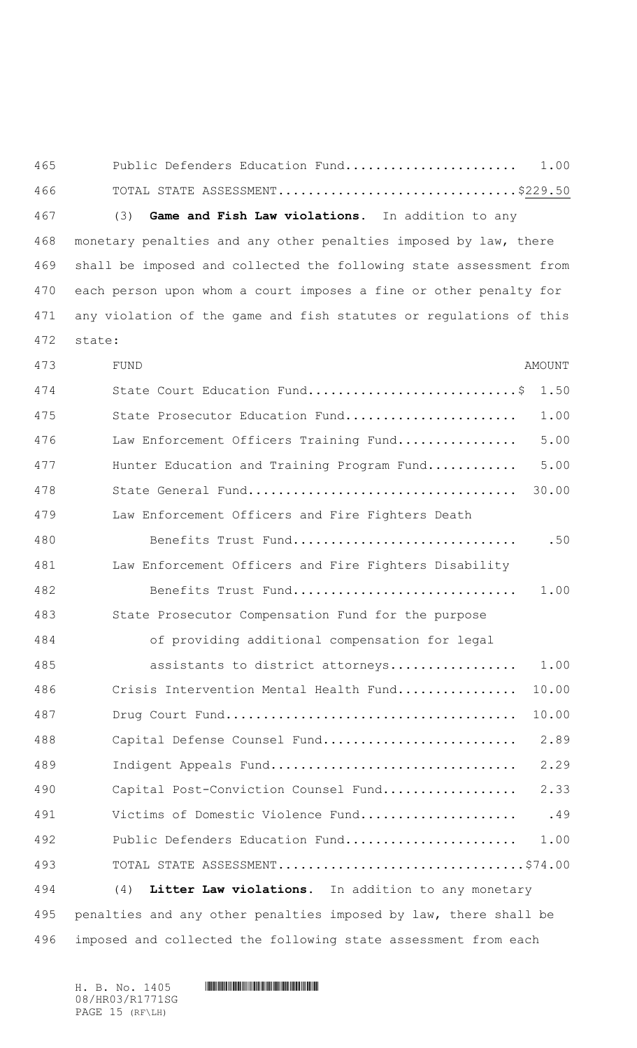| 465 | Public Defenders Education Fund | 1.00 |
|-----|---------------------------------|------|
| 466 | TOTAL STATE ASSESSMENT\$229.50  |      |

(3) **Game and Fish Law violations.** In addition to any

 monetary penalties and any other penalties imposed by law, there shall be imposed and collected the following state assessment from each person upon whom a court imposes a fine or other penalty for any violation of the game and fish statutes or regulations of this state:

| 473 | FUND                                                             | <b>AMOUNT</b> |
|-----|------------------------------------------------------------------|---------------|
| 474 | State Court Education Fund\$                                     | 1.50          |
| 475 | State Prosecutor Education Fund                                  | 1.00          |
| 476 | Law Enforcement Officers Training Fund                           | 5.00          |
| 477 | Hunter Education and Training Program Fund                       | 5.00          |
| 478 |                                                                  | 30.00         |
| 479 | Law Enforcement Officers and Fire Fighters Death                 |               |
| 480 | Benefits Trust Fund                                              | .50           |
| 481 | Law Enforcement Officers and Fire Fighters Disability            |               |
| 482 | Benefits Trust Fund                                              | 1.00          |
| 483 | State Prosecutor Compensation Fund for the purpose               |               |
| 484 | of providing additional compensation for legal                   |               |
| 485 | assistants to district attorneys                                 | 1.00          |
| 486 | Crisis Intervention Mental Health Fund                           | 10.00         |
| 487 |                                                                  | 10.00         |
| 488 | Capital Defense Counsel Fund                                     | 2.89          |
| 489 | Indigent Appeals Fund                                            | 2.29          |
| 490 | Capital Post-Conviction Counsel Fund                             | 2.33          |
| 491 | Victims of Domestic Violence Fund                                | .49           |
| 492 | Public Defenders Education Fund                                  | 1.00          |
| 493 |                                                                  |               |
| 494 | Litter Law violations. In addition to any monetary<br>(4)        |               |
| 495 | penalties and any other penalties imposed by law, there shall be |               |
| 496 | imposed and collected the following state assessment from each   |               |

 $H. B. No. 1405$  . HENDER SERVICE SERVICE SERVICE SERVICE SERVICE SERVICE SERVICE SERVICE SERVICE SERVICE SERVICE SERVICE SERVICE SERVICE SERVICE SERVICE SERVICE SERVICE SERVICE SERVICE SERVICE SERVICE SERVICE SERVICE SERVIC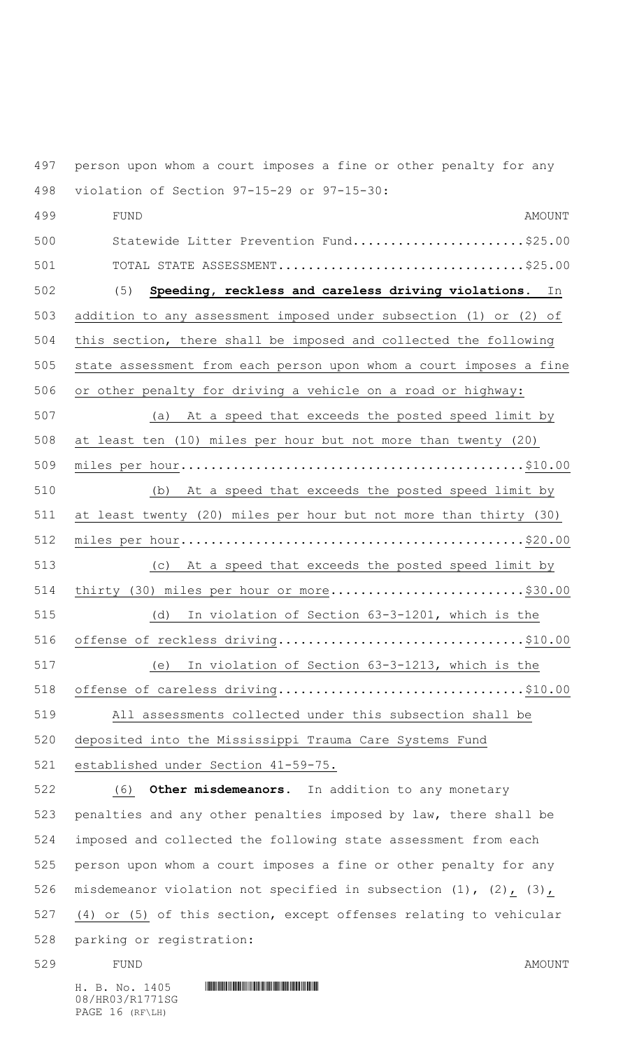person upon whom a court imposes a fine or other penalty for any violation of Section 97-15-29 or 97-15-30:

 FUND AMOUNT Statewide Litter Prevention Fund.......................\$25.00 TOTAL STATE ASSESSMENT.................................\$25.00 (5) **Speeding, reckless and careless driving violations.** In addition to any assessment imposed under subsection (1) or (2) of this section, there shall be imposed and collected the following state assessment from each person upon whom a court imposes a fine or other penalty for driving a vehicle on a road or highway: (a) At a speed that exceeds the posted speed limit by at least ten (10) miles per hour but not more than twenty (20) miles per hour..............................................\$10.00 (b) At a speed that exceeds the posted speed limit by at least twenty (20) miles per hour but not more than thirty (30) miles per hour..............................................\$20.00 (c) At a speed that exceeds the posted speed limit by 514 thirty (30) miles per hour or more..............................\$30.00 (d) In violation of Section 63-3-1201, which is the offense of reckless driving.................................\$10.00 (e) In violation of Section 63-3-1213, which is the offense of careless driving.................................\$10.00 All assessments collected under this subsection shall be deposited into the Mississippi Trauma Care Systems Fund established under Section 41-59-75. (6) **Other misdemeanors.** In addition to any monetary penalties and any other penalties imposed by law, there shall be imposed and collected the following state assessment from each

 person upon whom a court imposes a fine or other penalty for any 526 misdemeanor violation not specified in subsection (1), (2), (3), (4) or (5) of this section, except offenses relating to vehicular parking or registration:

529 FUND FUND

 $H. B. No. 1405$  . HENDIFFERENTIAL SERVICE SERVICE SERVICE SERVICE SERVICE SERVICE SERVICE SERVICE SERVICE SERVICE SERVICE SERVICE SERVICE SERVICE SERVICE SERVICE SERVICE SERVICE SERVICE SERVICE SERVICE SERVICE SERVICE SERVI

08/HR03/R1771SG PAGE 16 (RF\LH)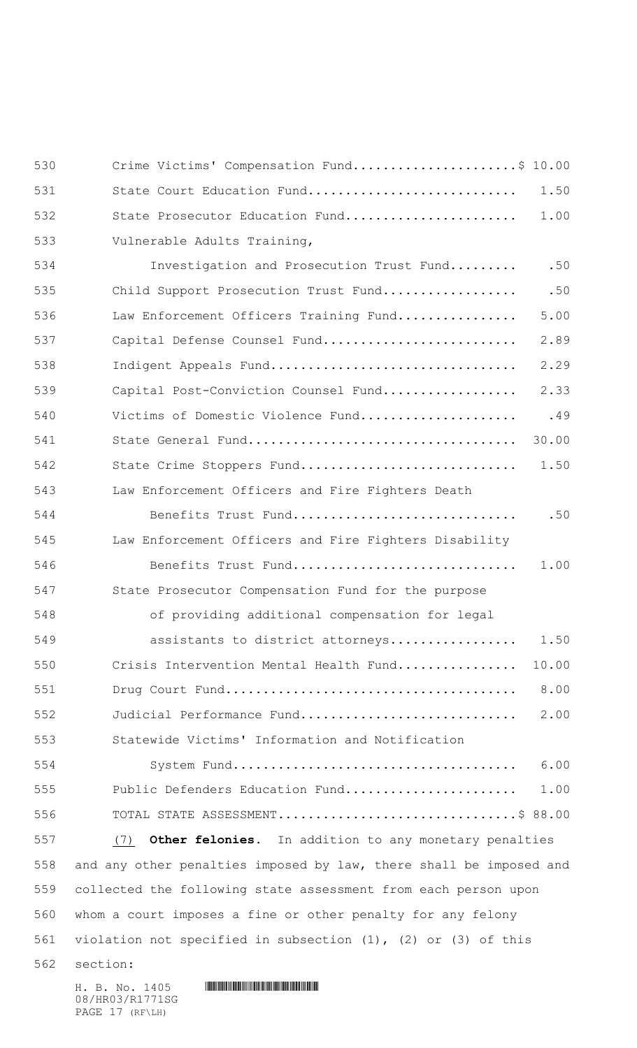| 530 | Crime Victims' Compensation Fund\$ 10.00                             |       |
|-----|----------------------------------------------------------------------|-------|
| 531 | State Court Education Fund                                           | 1.50  |
| 532 | State Prosecutor Education Fund                                      | 1.00  |
| 533 | Vulnerable Adults Training,                                          |       |
| 534 | Investigation and Prosecution Trust Fund                             | .50   |
| 535 | Child Support Prosecution Trust Fund                                 | .50   |
| 536 | Law Enforcement Officers Training Fund                               | 5.00  |
| 537 | Capital Defense Counsel Fund                                         | 2.89  |
| 538 | Indigent Appeals Fund                                                | 2.29  |
| 539 | Capital Post-Conviction Counsel Fund                                 | 2.33  |
| 540 | Victims of Domestic Violence Fund                                    | .49   |
| 541 |                                                                      | 30.00 |
| 542 | State Crime Stoppers Fund                                            | 1.50  |
| 543 | Law Enforcement Officers and Fire Fighters Death                     |       |
| 544 | Benefits Trust Fund                                                  | .50   |
| 545 | Law Enforcement Officers and Fire Fighters Disability                |       |
| 546 | Benefits Trust Fund                                                  | 1.00  |
| 547 | State Prosecutor Compensation Fund for the purpose                   |       |
| 548 | of providing additional compensation for legal                       |       |
| 549 | assistants to district attorneys                                     | 1.50  |
| 550 | Crisis Intervention Mental Health Fund                               | 10.00 |
| 551 |                                                                      | 8.00  |
| 552 | Judicial Performance Fund                                            | 2.00  |
| 553 | Statewide Victims' Information and Notification                      |       |
| 554 |                                                                      | 6.00  |
| 555 | Public Defenders Education Fund                                      | 1.00  |
| 556 | TOTAL STATE ASSESSMENT\$ 88.00                                       |       |
| 557 | <b>Other felonies.</b> In addition to any monetary penalties<br>(7)  |       |
| 558 | and any other penalties imposed by law, there shall be imposed and   |       |
| 559 | collected the following state assessment from each person upon       |       |
| 560 | whom a court imposes a fine or other penalty for any felony          |       |
| 561 | violation not specified in subsection $(1)$ , $(2)$ or $(3)$ of this |       |
| 562 | section:                                                             |       |
|     | H. B. No. 1405                                                       |       |

08/HR03/R1771SG PAGE 17 (RF\LH)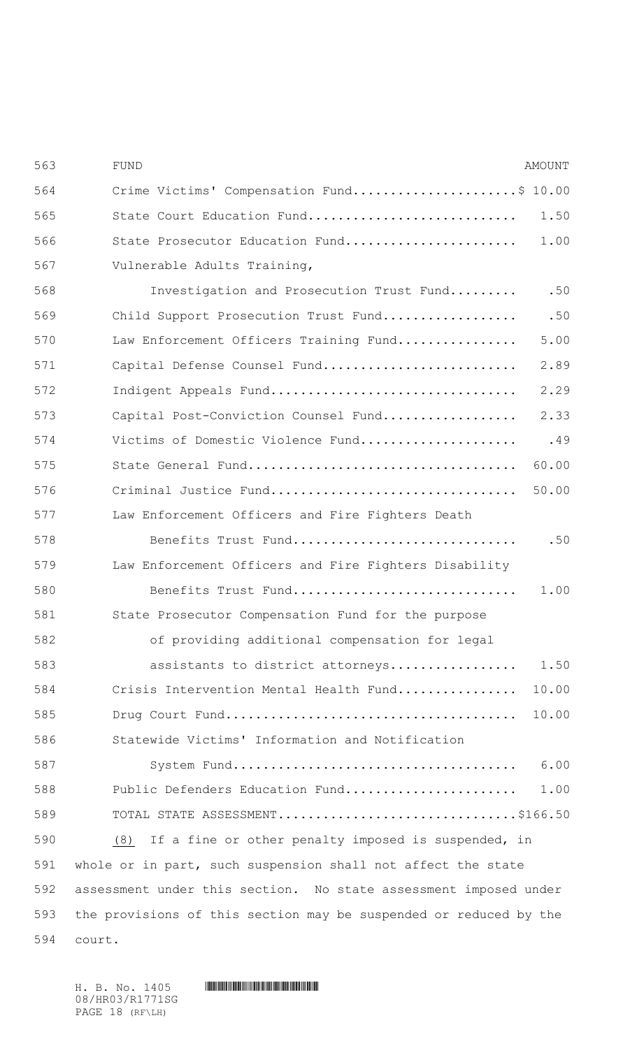| 563 | <b>FUND</b>                                                       | <b>AMOUNT</b> |
|-----|-------------------------------------------------------------------|---------------|
| 564 | Crime Victims' Compensation Fund\$ 10.00                          |               |
| 565 | State Court Education Fund                                        | 1.50          |
| 566 | State Prosecutor Education Fund                                   | 1.00          |
| 567 | Vulnerable Adults Training,                                       |               |
| 568 | Investigation and Prosecution Trust Fund                          | .50           |
| 569 | Child Support Prosecution Trust Fund                              | .50           |
| 570 | Law Enforcement Officers Training Fund                            | 5.00          |
| 571 | Capital Defense Counsel Fund                                      | 2.89          |
| 572 | Indigent Appeals Fund                                             | 2.29          |
| 573 | Capital Post-Conviction Counsel Fund                              | 2.33          |
| 574 | Victims of Domestic Violence Fund                                 | .49           |
| 575 |                                                                   | 60.00         |
| 576 | Criminal Justice Fund                                             | 50.00         |
| 577 | Law Enforcement Officers and Fire Fighters Death                  |               |
| 578 | Benefits Trust Fund                                               | .50           |
| 579 | Law Enforcement Officers and Fire Fighters Disability             |               |
| 580 | Benefits Trust Fund                                               | 1.00          |
| 581 | State Prosecutor Compensation Fund for the purpose                |               |
| 582 | of providing additional compensation for legal                    |               |
| 583 | assistants to district attorneys                                  | 1.50          |
| 584 | Crisis Intervention Mental Health Fund                            | 10.00         |
| 585 |                                                                   | 10.00         |
| 586 | Statewide Victims' Information and Notification                   |               |
| 587 |                                                                   | 6.00          |
| 588 | Public Defenders Education Fund                                   | 1.00          |
| 589 | TOTAL STATE ASSESSMENT\$166.50                                    |               |
| 590 | (8) If a fine or other penalty imposed is suspended, in           |               |
| 591 | whole or in part, such suspension shall not affect the state      |               |
| 592 | assessment under this section. No state assessment imposed under  |               |
| 593 | the provisions of this section may be suspended or reduced by the |               |
| 594 | court.                                                            |               |

08/HR03/R1771SG PAGE 18 (RF\LH)

H. B. No. 1405 A. No. 1405 A. No. 1405 A. No. 1405 A. No. 1405 A. No. 1405 A. No. 1405 A. No. 1405 A. No. 140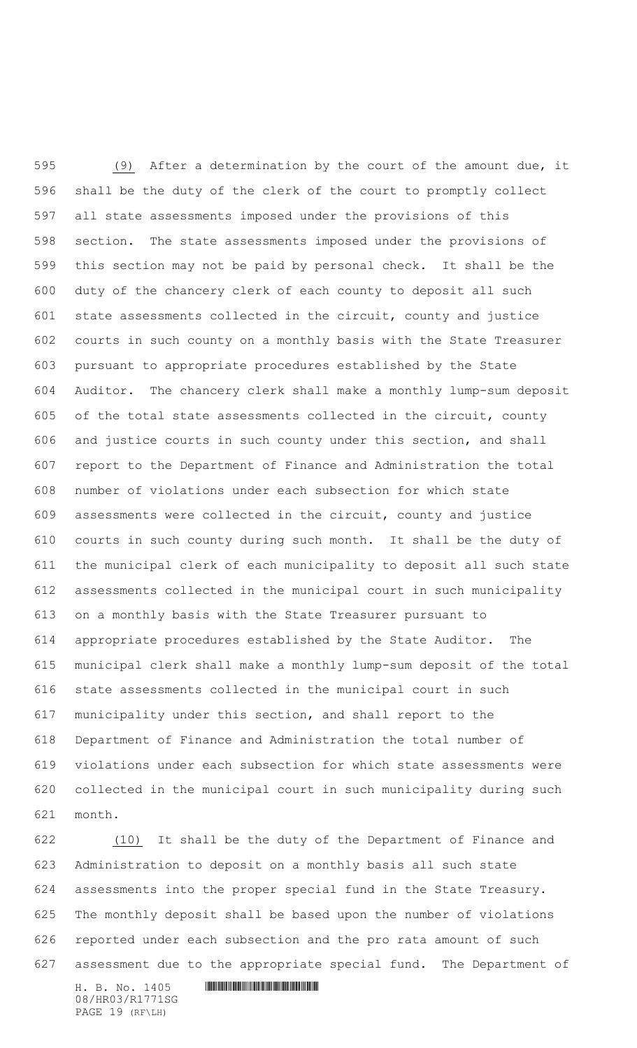(9) After a determination by the court of the amount due, it shall be the duty of the clerk of the court to promptly collect all state assessments imposed under the provisions of this section. The state assessments imposed under the provisions of this section may not be paid by personal check. It shall be the duty of the chancery clerk of each county to deposit all such state assessments collected in the circuit, county and justice courts in such county on a monthly basis with the State Treasurer pursuant to appropriate procedures established by the State Auditor. The chancery clerk shall make a monthly lump-sum deposit of the total state assessments collected in the circuit, county and justice courts in such county under this section, and shall report to the Department of Finance and Administration the total number of violations under each subsection for which state assessments were collected in the circuit, county and justice courts in such county during such month. It shall be the duty of the municipal clerk of each municipality to deposit all such state assessments collected in the municipal court in such municipality on a monthly basis with the State Treasurer pursuant to appropriate procedures established by the State Auditor. The municipal clerk shall make a monthly lump-sum deposit of the total state assessments collected in the municipal court in such municipality under this section, and shall report to the Department of Finance and Administration the total number of violations under each subsection for which state assessments were collected in the municipal court in such municipality during such month.

 (10) It shall be the duty of the Department of Finance and Administration to deposit on a monthly basis all such state assessments into the proper special fund in the State Treasury. The monthly deposit shall be based upon the number of violations reported under each subsection and the pro rata amount of such assessment due to the appropriate special fund. The Department of

 $H. B. No. 1405$  . HENDIFFERENTIAL SERVICE SERVICE SERVICE SERVICE SERVICE SERVICE SERVICE SERVICE SERVICE SERVICE SERVICE SERVICE SERVICE SERVICE SERVICE SERVICE SERVICE SERVICE SERVICE SERVICE SERVICE SERVICE SERVICE SERVI 08/HR03/R1771SG PAGE 19 (RF\LH)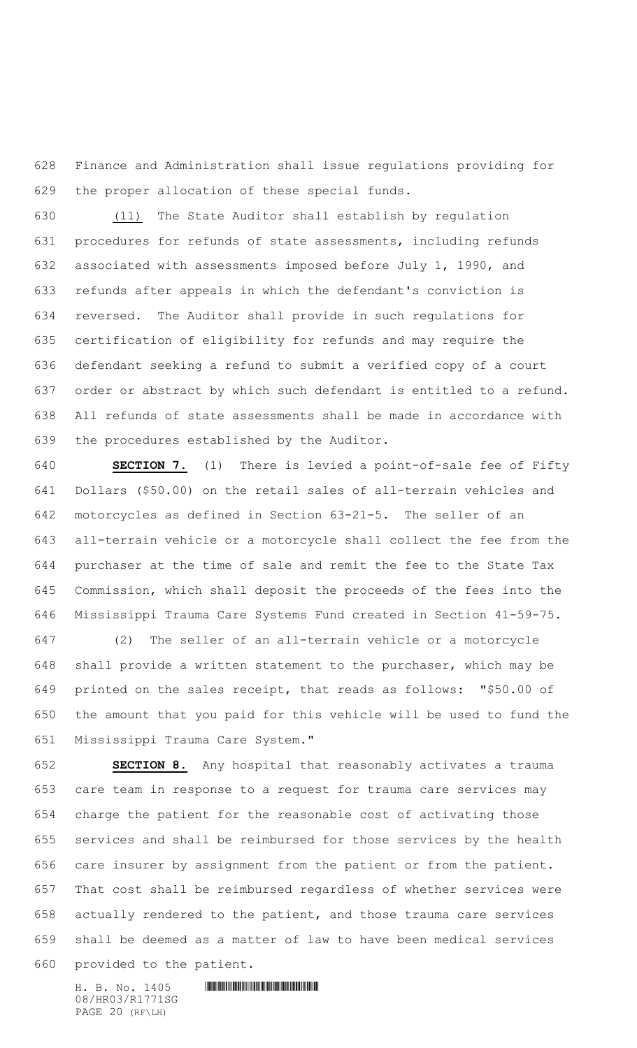Finance and Administration shall issue regulations providing for the proper allocation of these special funds.

 (11) The State Auditor shall establish by regulation procedures for refunds of state assessments, including refunds associated with assessments imposed before July 1, 1990, and refunds after appeals in which the defendant's conviction is reversed. The Auditor shall provide in such regulations for certification of eligibility for refunds and may require the defendant seeking a refund to submit a verified copy of a court order or abstract by which such defendant is entitled to a refund. All refunds of state assessments shall be made in accordance with the procedures established by the Auditor.

 **SECTION 7.** (1) There is levied a point-of-sale fee of Fifty Dollars (\$50.00) on the retail sales of all-terrain vehicles and motorcycles as defined in Section 63-21-5. The seller of an all-terrain vehicle or a motorcycle shall collect the fee from the purchaser at the time of sale and remit the fee to the State Tax Commission, which shall deposit the proceeds of the fees into the Mississippi Trauma Care Systems Fund created in Section 41-59-75.

 (2) The seller of an all-terrain vehicle or a motorcycle shall provide a written statement to the purchaser, which may be printed on the sales receipt, that reads as follows: "\$50.00 of the amount that you paid for this vehicle will be used to fund the Mississippi Trauma Care System."

 **SECTION 8.** Any hospital that reasonably activates a trauma care team in response to a request for trauma care services may charge the patient for the reasonable cost of activating those services and shall be reimbursed for those services by the health care insurer by assignment from the patient or from the patient. That cost shall be reimbursed regardless of whether services were actually rendered to the patient, and those trauma care services shall be deemed as a matter of law to have been medical services provided to the patient.

08/HR03/R1771SG PAGE 20 (RF\LH)

 $H. B. No. 1405$  . HENDER THE SET OF SET OF SET OF SET OF SET OF SET OF SET OF SET OF SET OF SET OF SET OF SET OF SET OF SET OF SET OF SET OF SET OF SET OF SET OF SET OF SET OF SET OF SET OF SET OF SET OF SET OF SET OF SET O